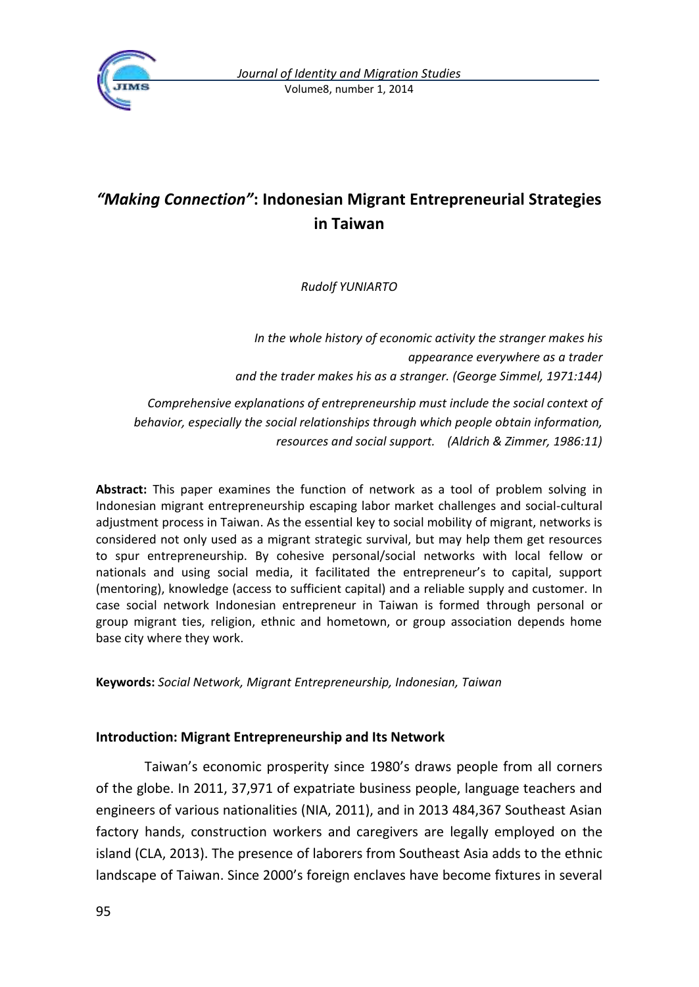

# *"Making Connection"***: Indonesian Migrant Entrepreneurial Strategies in Taiwan**

*Rudolf YUNIARTO*

*In the whole history of economic activity the stranger makes his appearance everywhere as a trader and the trader makes his as a stranger. (George Simmel, 1971:144)*

*Comprehensive explanations of entrepreneurship must include the social context of behavior, especially the social relationships through which people obtain information, resources and social support. (Aldrich & Zimmer, 1986:11)*

**Abstract:** This paper examines the function of network as a tool of problem solving in Indonesian migrant entrepreneurship escaping labor market challenges and social-cultural adjustment process in Taiwan. As the essential key to social mobility of migrant, networks is considered not only used as a migrant strategic survival, but may help them get resources to spur entrepreneurship. By cohesive personal/social networks with local fellow or nationals and using social media, it facilitated the entrepreneur's to capital, support (mentoring), knowledge (access to sufficient capital) and a reliable supply and customer. In case social network Indonesian entrepreneur in Taiwan is formed through personal or group migrant ties, religion, ethnic and hometown, or group association depends home base city where they work.

**Keywords:** *Social Network, Migrant Entrepreneurship, Indonesian, Taiwan*

### **Introduction: Migrant Entrepreneurship and Its Network**

Taiwan's economic prosperity since 1980's draws people from all corners of the globe. In 2011, 37,971 of expatriate business people, language teachers and engineers of various nationalities (NIA, 2011), and in 2013 484,367 Southeast Asian factory hands, construction workers and caregivers are legally employed on the island (CLA, 2013). The presence of laborers from Southeast Asia adds to the ethnic landscape of Taiwan. Since 2000's foreign enclaves have become fixtures in several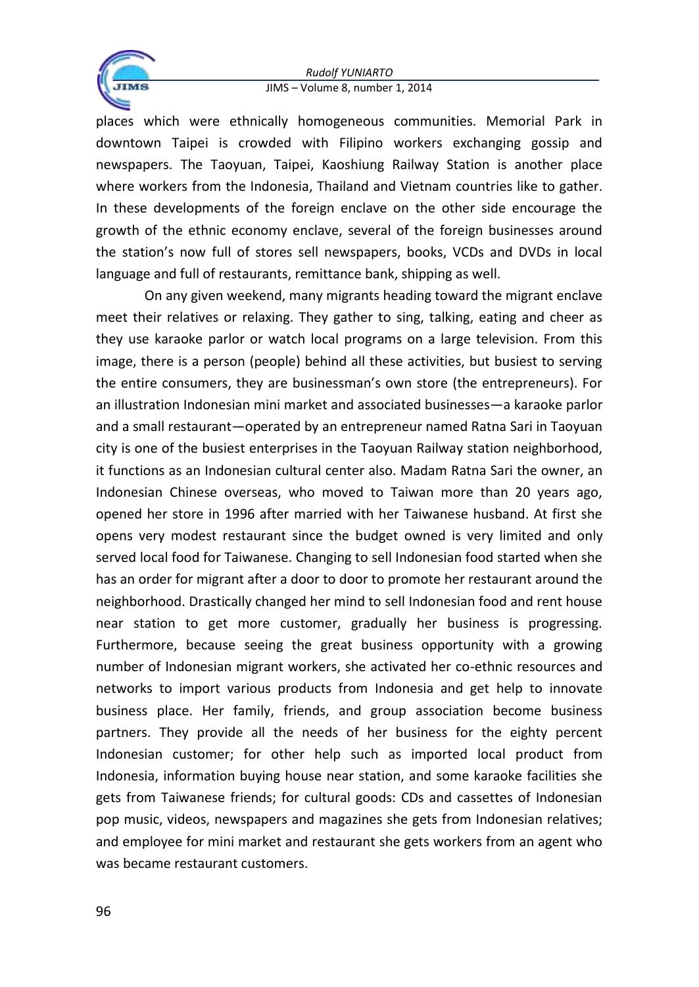

places which were ethnically homogeneous communities. Memorial Park in downtown Taipei is crowded with Filipino workers exchanging gossip and newspapers. The Taoyuan, Taipei, Kaoshiung Railway Station is another place where workers from the Indonesia, Thailand and Vietnam countries like to gather. In these developments of the foreign enclave on the other side encourage the growth of the ethnic economy enclave, several of the foreign businesses around the station's now full of stores sell newspapers, books, VCDs and DVDs in local language and full of restaurants, remittance bank, shipping as well.

On any given weekend, many migrants heading toward the migrant enclave meet their relatives or relaxing. They gather to sing, talking, eating and cheer as they use karaoke parlor or watch local programs on a large television. From this image, there is a person (people) behind all these activities, but busiest to serving the entire consumers, they are businessman's own store (the entrepreneurs). For an illustration Indonesian mini market and associated businesses—a karaoke parlor and a small restaurant—operated by an entrepreneur named Ratna Sari in Taoyuan city is one of the busiest enterprises in the Taoyuan Railway station neighborhood, it functions as an Indonesian cultural center also. Madam Ratna Sari the owner, an Indonesian Chinese overseas, who moved to Taiwan more than 20 years ago, opened her store in 1996 after married with her Taiwanese husband. At first she opens very modest restaurant since the budget owned is very limited and only served local food for Taiwanese. Changing to sell Indonesian food started when she has an order for migrant after a door to door to promote her restaurant around the neighborhood. Drastically changed her mind to sell Indonesian food and rent house near station to get more customer, gradually her business is progressing. Furthermore, because seeing the great business opportunity with a growing number of Indonesian migrant workers, she activated her co-ethnic resources and networks to import various products from Indonesia and get help to innovate business place. Her family, friends, and group association become business partners. They provide all the needs of her business for the eighty percent Indonesian customer; for other help such as imported local product from Indonesia, information buying house near station, and some karaoke facilities she gets from Taiwanese friends; for cultural goods: CDs and cassettes of Indonesian pop music, videos, newspapers and magazines she gets from Indonesian relatives; and employee for mini market and restaurant she gets workers from an agent who was became restaurant customers.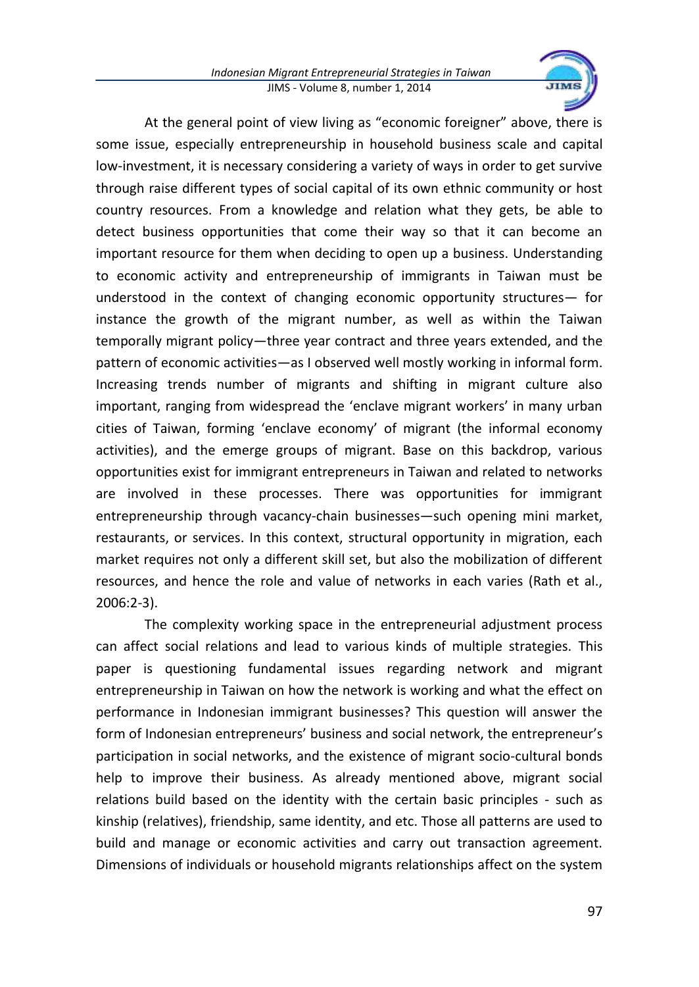

At the general point of view living as "economic foreigner" above, there is some issue, especially entrepreneurship in household business scale and capital low-investment, it is necessary considering a variety of ways in order to get survive through raise different types of social capital of its own ethnic community or host country resources. From a knowledge and relation what they gets, be able to detect business opportunities that come their way so that it can become an important resource for them when deciding to open up a business. Understanding to economic activity and entrepreneurship of immigrants in Taiwan must be understood in the context of changing economic opportunity structures— for instance the growth of the migrant number, as well as within the Taiwan temporally migrant policy—three year contract and three years extended, and the pattern of economic activities—as I observed well mostly working in informal form. Increasing trends number of migrants and shifting in migrant culture also important, ranging from widespread the 'enclave migrant workers' in many urban cities of Taiwan, forming 'enclave economy' of migrant (the informal economy activities), and the emerge groups of migrant. Base on this backdrop, various opportunities exist for immigrant entrepreneurs in Taiwan and related to networks are involved in these processes. There was opportunities for immigrant entrepreneurship through vacancy-chain businesses—such opening mini market, restaurants, or services. In this context, structural opportunity in migration, each market requires not only a different skill set, but also the mobilization of different resources, and hence the role and value of networks in each varies (Rath et al., 2006:2-3).

The complexity working space in the entrepreneurial adjustment process can affect social relations and lead to various kinds of multiple strategies. This paper is questioning fundamental issues regarding network and migrant entrepreneurship in Taiwan on how the network is working and what the effect on performance in Indonesian immigrant businesses? This question will answer the form of Indonesian entrepreneurs' business and social network, the entrepreneur's participation in social networks, and the existence of migrant socio-cultural bonds help to improve their business. As already mentioned above, migrant social relations build based on the identity with the certain basic principles - such as kinship (relatives), friendship, same identity, and etc. Those all patterns are used to build and manage or economic activities and carry out transaction agreement. Dimensions of individuals or household migrants relationships affect on the system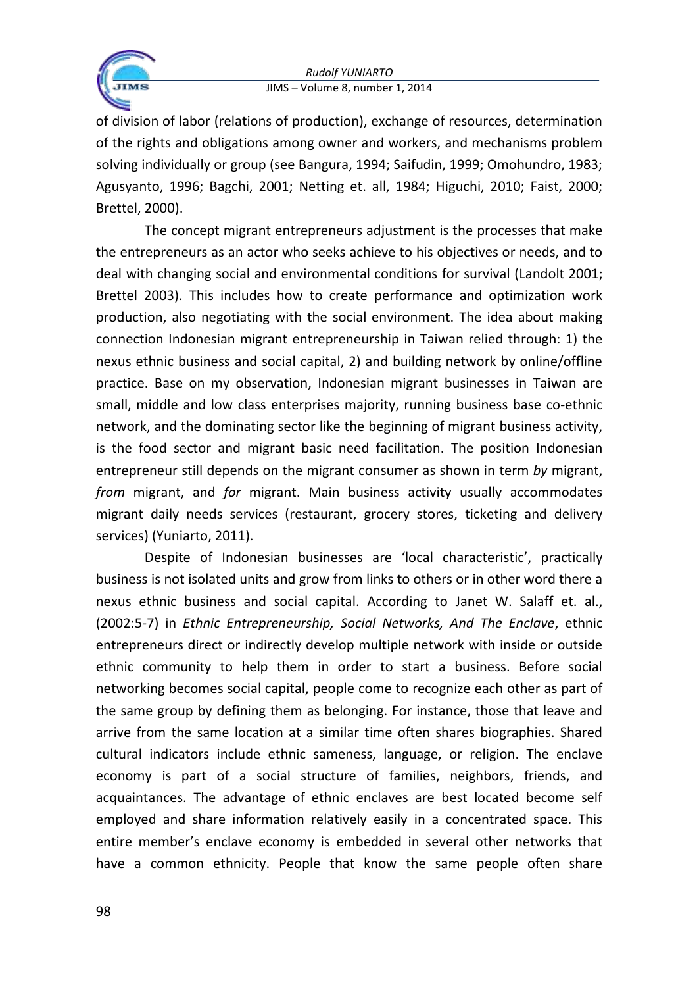

of division of labor (relations of production), exchange of resources, determination of the rights and obligations among owner and workers, and mechanisms problem solving individually or group (see Bangura, 1994; Saifudin, 1999; Omohundro, 1983; Agusyanto, 1996; Bagchi, 2001; Netting et. all, 1984; Higuchi, 2010; Faist, 2000; Brettel, 2000).

The concept migrant entrepreneurs adjustment is the processes that make the entrepreneurs as an actor who seeks achieve to his objectives or needs, and to deal with changing social and environmental conditions for survival (Landolt 2001; Brettel 2003). This includes how to create performance and optimization work production, also negotiating with the social environment. The idea about making connection Indonesian migrant entrepreneurship in Taiwan relied through: 1) the nexus ethnic business and social capital, 2) and building network by online/offline practice. Base on my observation, Indonesian migrant businesses in Taiwan are small, middle and low class enterprises majority, running business base co-ethnic network, and the dominating sector like the beginning of migrant business activity, is the food sector and migrant basic need facilitation. The position Indonesian entrepreneur still depends on the migrant consumer as shown in term *by* migrant, *from* migrant, and *for* migrant. Main business activity usually accommodates migrant daily needs services (restaurant, grocery stores, ticketing and delivery services) (Yuniarto, 2011).

Despite of Indonesian businesses are 'local characteristic', practically business is not isolated units and grow from links to others or in other word there a nexus ethnic business and social capital. According to Janet W. Salaff et. al., (2002:5-7) in *Ethnic Entrepreneurship, Social Networks, And The Enclave*, ethnic entrepreneurs direct or indirectly develop multiple network with inside or outside ethnic community to help them in order to start a business. Before social networking becomes social capital, people come to recognize each other as part of the same group by defining them as belonging. For instance, those that leave and arrive from the same location at a similar time often shares biographies. Shared cultural indicators include ethnic sameness, language, or religion. The enclave economy is part of a social structure of families, neighbors, friends, and acquaintances. The advantage of ethnic enclaves are best located become self employed and share information relatively easily in a concentrated space. This entire member's enclave economy is embedded in several other networks that have a common ethnicity. People that know the same people often share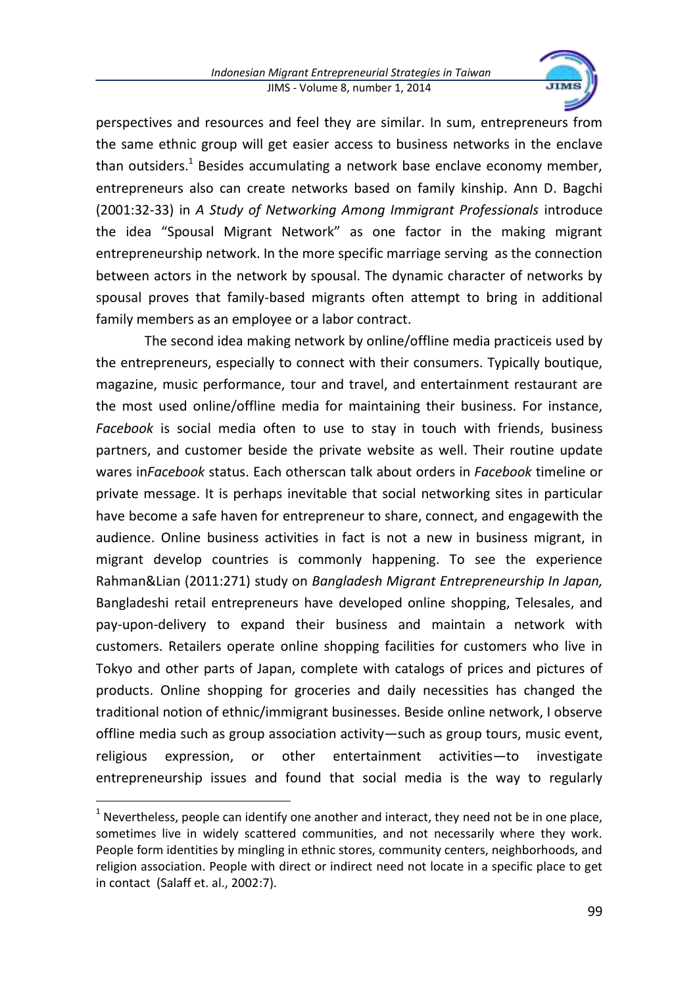

perspectives and resources and feel they are similar. In sum, entrepreneurs from the same ethnic group will get easier access to business networks in the enclave than outsiders.<sup>1</sup> Besides accumulating a network base enclave economy member, entrepreneurs also can create networks based on family kinship. Ann D. Bagchi (2001:32-33) in *A Study of Networking Among Immigrant Professionals* introduce the idea "Spousal Migrant Network" as one factor in the making migrant entrepreneurship network. In the more specific marriage serving as the connection between actors in the network by spousal. The dynamic character of networks by spousal proves that family-based migrants often attempt to bring in additional family members as an employee or a labor contract.

The second idea making network by online/offline media practiceis used by the entrepreneurs, especially to connect with their consumers. Typically boutique, magazine, music performance, tour and travel, and entertainment restaurant are the most used online/offline media for maintaining their business. For instance, *Facebook* is social media often to use to stay in touch with friends, business partners, and customer beside the private website as well. Their routine update wares in*Facebook* status. Each otherscan talk about orders in *Facebook* timeline or private message. It is perhaps inevitable that social networking sites in particular have become a safe haven for entrepreneur to share, connect, and engagewith the audience. Online business activities in fact is not a new in business migrant, in migrant develop countries is commonly happening. To see the experience Rahman&Lian (2011:271) study on *Bangladesh Migrant Entrepreneurship In Japan,*  Bangladeshi retail entrepreneurs have developed online shopping, Telesales, and pay-upon-delivery to expand their business and maintain a network with customers. Retailers operate online shopping facilities for customers who live in Tokyo and other parts of Japan, complete with catalogs of prices and pictures of products. Online shopping for groceries and daily necessities has changed the traditional notion of ethnic/immigrant businesses. Beside online network, I observe offline media such as group association activity—such as group tours, music event, religious expression, or other entertainment activities—to investigate entrepreneurship issues and found that social media is the way to regularly

 $<sup>1</sup>$  Nevertheless, people can identify one another and interact, they need not be in one place,</sup> sometimes live in widely scattered communities, and not necessarily where they work. People form identities by mingling in ethnic stores, community centers, neighborhoods, and religion association. People with direct or indirect need not locate in a specific place to get in contact (Salaff et. al., 2002:7).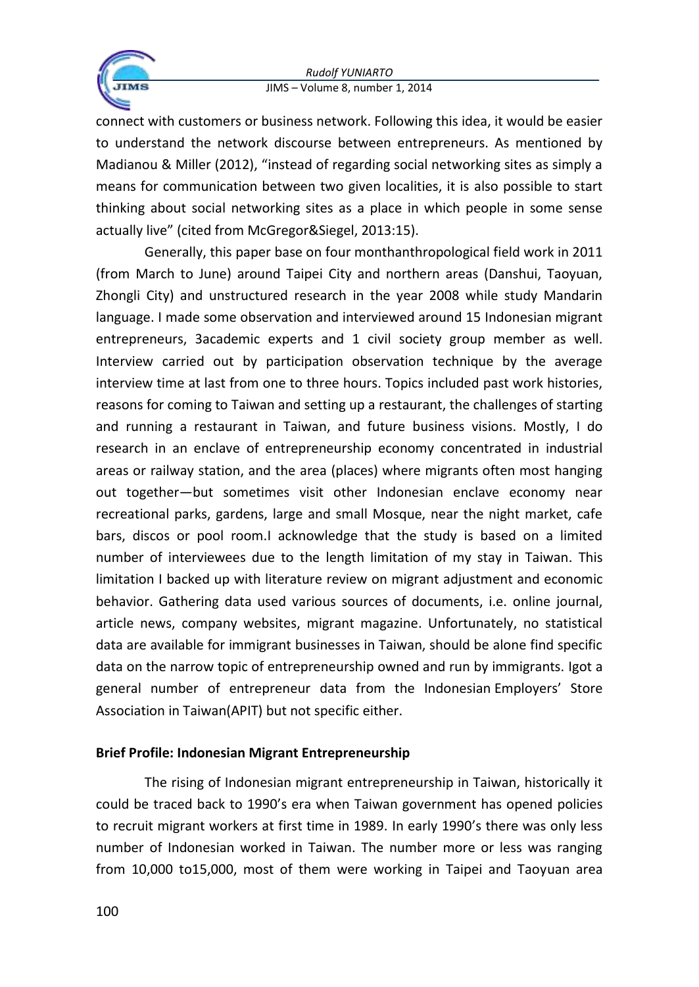

connect with customers or business network. Following this idea, it would be easier to understand the network discourse between entrepreneurs. As mentioned by Madianou & Miller (2012), "instead of regarding social networking sites as simply a means for communication between two given localities, it is also possible to start thinking about social networking sites as a place in which people in some sense actually live" (cited from McGregor&Siegel, 2013:15).

Generally, this paper base on four monthanthropological field work in 2011 (from March to June) around Taipei City and northern areas (Danshui, Taoyuan, Zhongli City) and unstructured research in the year 2008 while study Mandarin language. I made some observation and interviewed around 15 Indonesian migrant entrepreneurs, 3academic experts and 1 civil society group member as well. Interview carried out by participation observation technique by the average interview time at last from one to three hours. Topics included past work histories, reasons for coming to Taiwan and setting up a restaurant, the challenges of starting and running a restaurant in Taiwan, and future business visions. Mostly, I do research in an enclave of entrepreneurship economy concentrated in industrial areas or railway station, and the area (places) where migrants often most hanging out together—but sometimes visit other Indonesian enclave economy near recreational parks, gardens, large and small Mosque, near the night market, cafe bars, discos or pool room.I acknowledge that the study is based on a limited number of interviewees due to the length limitation of my stay in Taiwan. This limitation I backed up with literature review on migrant adjustment and economic behavior. Gathering data used various sources of documents, i.e. online journal, article news, company websites, migrant magazine. Unfortunately, no statistical data are available for immigrant businesses in Taiwan, should be alone find specific data on the narrow topic of entrepreneurship owned and run by immigrants. Igot a general number of entrepreneur data from the Indonesian Employers' Store Association in Taiwan(APIT) but not specific either.

# **Brief Profile: Indonesian Migrant Entrepreneurship**

The rising of Indonesian migrant entrepreneurship in Taiwan, historically it could be traced back to 1990's era when Taiwan government has opened policies to recruit migrant workers at first time in 1989. In early 1990's there was only less number of Indonesian worked in Taiwan. The number more or less was ranging from 10,000 to15,000, most of them were working in Taipei and Taoyuan area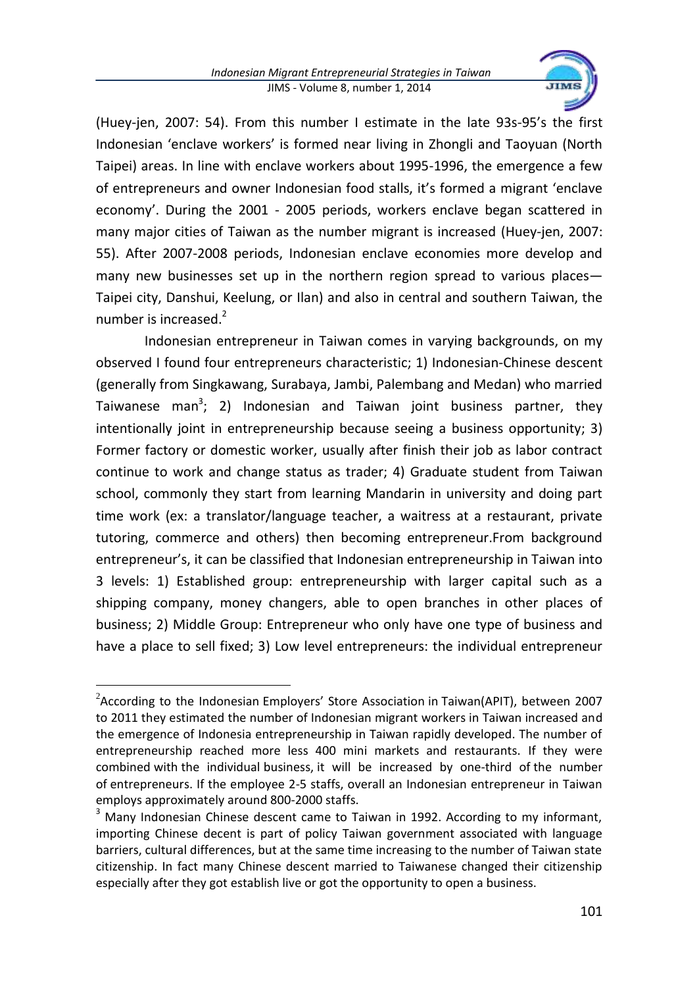

(Huey-jen, 2007: 54). From this number I estimate in the late 93s-95's the first Indonesian 'enclave workers' is formed near living in Zhongli and Taoyuan (North Taipei) areas. In line with enclave workers about 1995-1996, the emergence a few of entrepreneurs and owner Indonesian food stalls, it's formed a migrant 'enclave economy'. During the 2001 - 2005 periods, workers enclave began scattered in many major cities of Taiwan as the number migrant is increased (Huey-jen, 2007: 55). After 2007-2008 periods, Indonesian enclave economies more develop and many new businesses set up in the northern region spread to various places— Taipei city, Danshui, Keelung, or Ilan) and also in central and southern Taiwan, the number is increased. $2$ 

Indonesian entrepreneur in Taiwan comes in varying backgrounds, on my observed I found four entrepreneurs characteristic; 1) Indonesian-Chinese descent (generally from Singkawang, Surabaya, Jambi, Palembang and Medan) who married Taiwanese man<sup>3</sup>; 2) Indonesian and Taiwan joint business partner, they intentionally joint in entrepreneurship because seeing a business opportunity; 3) Former factory or domestic worker, usually after finish their job as labor contract continue to work and change status as trader; 4) Graduate student from Taiwan school, commonly they start from learning Mandarin in university and doing part time work (ex: a translator/language teacher, a waitress at a restaurant, private tutoring, commerce and others) then becoming entrepreneur.From background entrepreneur's, it can be classified that Indonesian entrepreneurship in Taiwan into 3 levels: 1) Established group: entrepreneurship with larger capital such as a shipping company, money changers, able to open branches in other places of business; 2) Middle Group: Entrepreneur who only have one type of business and have a place to sell fixed; 3) Low level entrepreneurs: the individual entrepreneur

 $\ddot{\phantom{a}}$ 

 $2$ According to the Indonesian Employers' Store Association in Taiwan(APIT), between 2007 to 2011 they estimated the number of Indonesian migrant workers in Taiwan increased and the emergence of Indonesia entrepreneurship in Taiwan rapidly developed. The number of entrepreneurship reached more less 400 mini markets and restaurants. If they were combined with the individual business, it will be increased by one-third of the number of entrepreneurs. If the employee 2-5 staffs, overall an Indonesian entrepreneur in Taiwan employs approximately around 800-2000 staffs.

 $3$  Many Indonesian Chinese descent came to Taiwan in 1992. According to my informant, importing Chinese decent is part of policy Taiwan government associated with language barriers, cultural differences, but at the same time increasing to the number of Taiwan state citizenship. In fact many Chinese descent married to Taiwanese changed their citizenship especially after they got establish live or got the opportunity to open a business.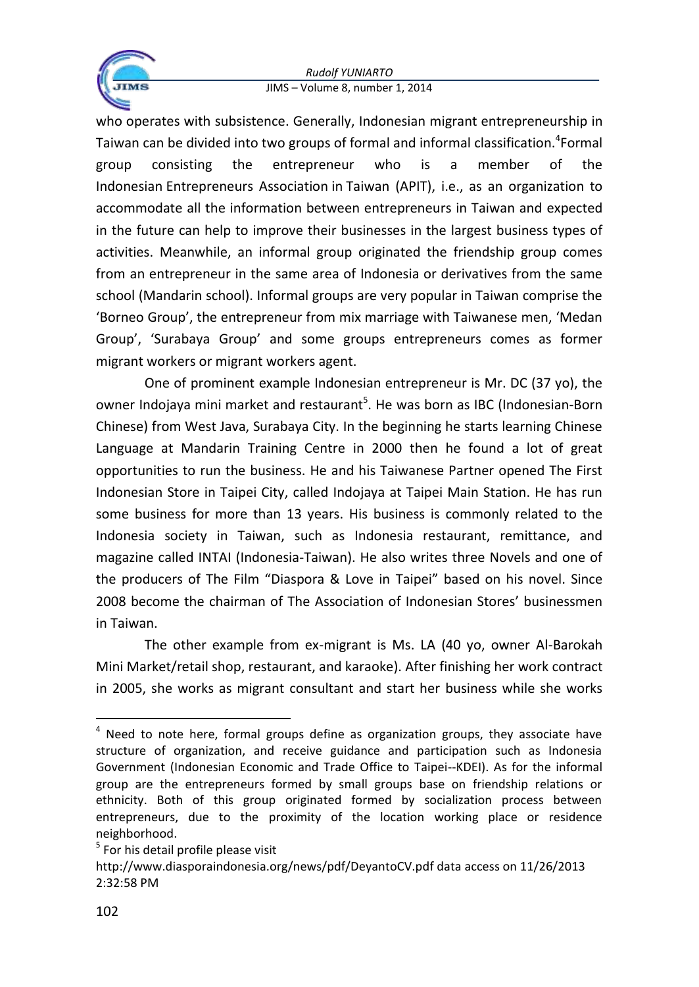

who operates with subsistence. Generally, Indonesian migrant entrepreneurship in Taiwan can be divided into two groups of formal and informal classification.<sup>4</sup>Formal group consisting the entrepreneur who is a member of the Indonesian Entrepreneurs Association in Taiwan (APIT), i.e., as an organization to accommodate all the information between entrepreneurs in Taiwan and expected in the future can help to improve their businesses in the largest business types of activities. Meanwhile, an informal group originated the friendship group comes from an entrepreneur in the same area of Indonesia or derivatives from the same school (Mandarin school). Informal groups are very popular in Taiwan comprise the 'Borneo Group', the entrepreneur from mix marriage with Taiwanese men, 'Medan Group', 'Surabaya Group' and some groups entrepreneurs comes as former migrant workers or migrant workers agent.

One of prominent example Indonesian entrepreneur is Mr. DC (37 yo), the owner Indojaya mini market and restaurant<sup>5</sup>. He was born as IBC (Indonesian-Born Chinese) from West Java, Surabaya City. In the beginning he starts learning Chinese Language at Mandarin Training Centre in 2000 then he found a lot of great opportunities to run the business. He and his Taiwanese Partner opened The First Indonesian Store in Taipei City, called Indojaya at Taipei Main Station. He has run some business for more than 13 years. His business is commonly related to the Indonesia society in Taiwan, such as Indonesia restaurant, remittance, and magazine called INTAI (Indonesia‐Taiwan). He also writes three Novels and one of the producers of The Film "Diaspora & Love in Taipei" based on his novel. Since 2008 become the chairman of The Association of Indonesian Stores' businessmen in Taiwan.

The other example from ex-migrant is Ms. LA (40 yo, owner Al-Barokah Mini Market/retail shop, restaurant, and karaoke). After finishing her work contract in 2005, she works as migrant consultant and start her business while she works

 $\ddot{\phantom{a}}$ 

<sup>&</sup>lt;sup>4</sup> Need to note here, formal groups define as organization groups, they associate have structure of organization, and receive guidance and participation such as Indonesia Government (Indonesian Economic and Trade Office to Taipei--KDEI). As for the informal group are the entrepreneurs formed by small groups base on friendship relations or ethnicity. Both of this group originated formed by socialization process between entrepreneurs, due to the proximity of the location working place or residence neighborhood.

<sup>&</sup>lt;sup>5</sup> For his detail profile please visit

http://www.diasporaindonesia.org/news/pdf/DeyantoCV.pdf data access on 11/26/2013 2:32:58 PM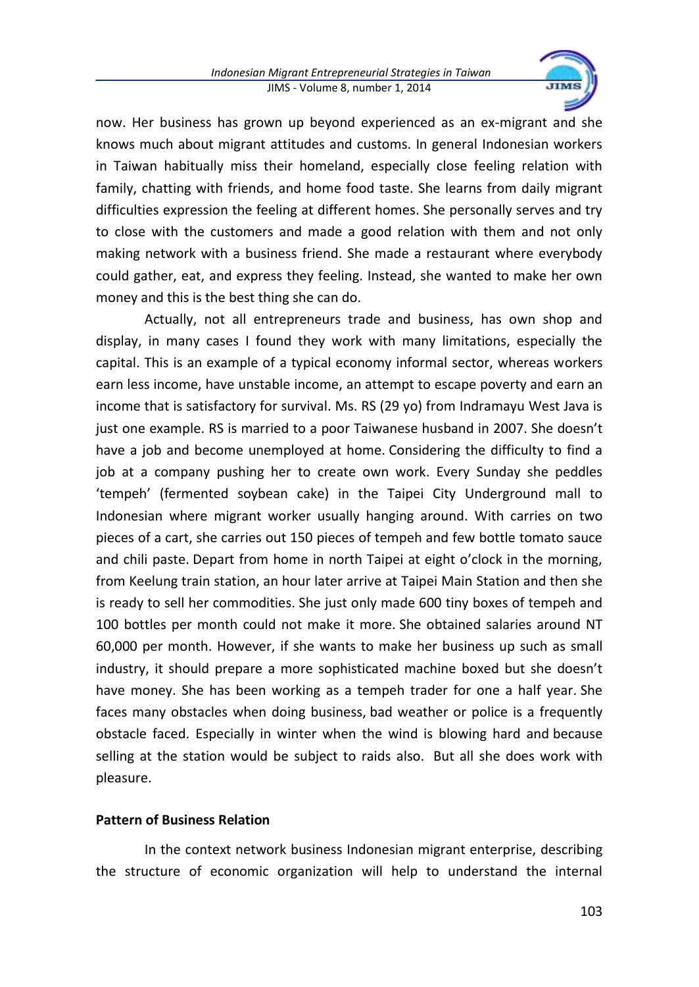

now. Her business has grown up beyond experienced as an ex-migrant and she knows much about migrant attitudes and customs. In general Indonesian workers in Taiwan habitually miss their homeland, especially close feeling relation with family, chatting with friends, and home food taste. She learns from daily migrant difficulties expression the feeling at different homes. She personally serves and try to close with the customers and made a good relation with them and not only making network with a business friend. She made a restaurant where everybody could gather, eat, and express they feeling. Instead, she wanted to make her own money and this is the best thing she can do.

Actually, not all entrepreneurs trade and business, has own shop and display, in many cases I found they work with many limitations, especially the capital. This is an example of a typical economy informal sector, whereas workers earn less income, have unstable income, an attempt to escape poverty and earn an income that is satisfactory for survival. Ms. RS (29 yo) from Indramayu West Java is just one example. RS is married to a poor Taiwanese husband in 2007. She doesn't have a job and become unemployed at home. Considering the difficulty to find a job at a company pushing her to create own work. Every Sunday she peddles 'tempeh' (fermented soybean cake) in the Taipei City Underground mall to Indonesian where migrant worker usually hanging around. With carries on two pieces of a cart, she carries out 150 pieces of tempeh and few bottle tomato sauce and chili paste. Depart from home in north Taipei at eight o'clock in the morning, from Keelung train station, an hour later arrive at Taipei Main Station and then she is ready to sell her commodities. She just only made 600 tiny boxes of tempeh and 100 bottles per month could not make it more. She obtained salaries around NT 60,000 per month. However, if she wants to make her business up such as small industry, it should prepare a more sophisticated machine boxed but she doesn't have money. She has been working as a tempeh trader for one a half year. She faces many obstacles when doing business, bad weather or police is a frequently obstacle faced. Especially in winter when the wind is blowing hard and because selling at the station would be subject to raids also. But all she does work with pleasure.

### **Pattern of Business Relation**

In the context network business Indonesian migrant enterprise, describing the structure of economic organization will help to understand the internal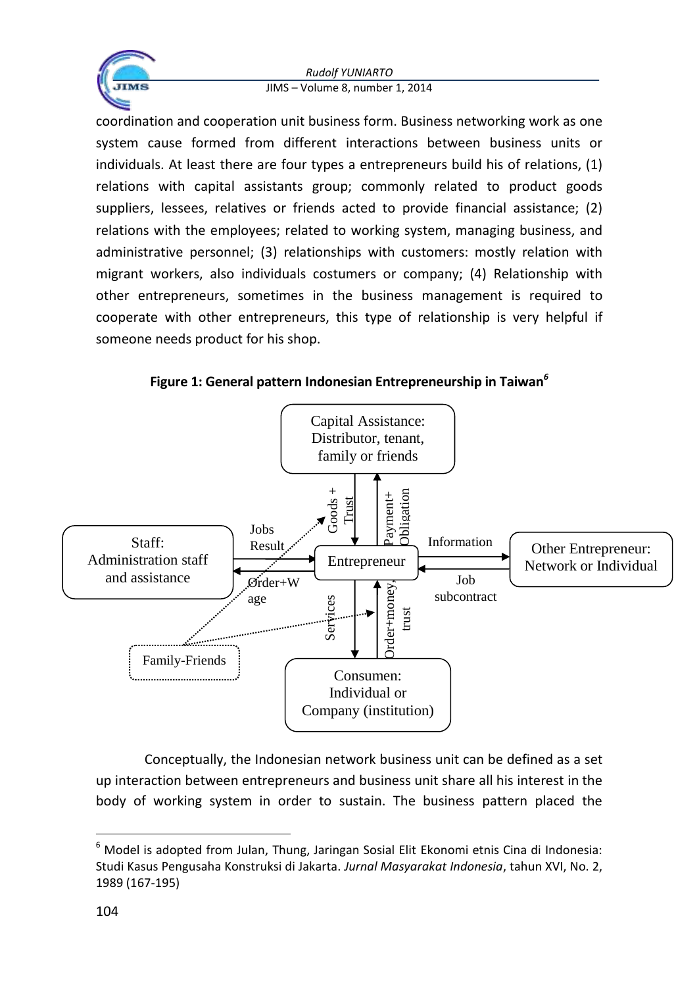

coordination and cooperation unit business form. Business networking work as one system cause formed from different interactions between business units or individuals. At least there are four types a entrepreneurs build his of relations, (1) relations with capital assistants group; commonly related to product goods suppliers, lessees, relatives or friends acted to provide financial assistance; (2) relations with the employees; related to working system, managing business, and administrative personnel; (3) relationships with customers: mostly relation with migrant workers, also individuals costumers or company; (4) Relationship with other entrepreneurs, sometimes in the business management is required to cooperate with other entrepreneurs, this type of relationship is very helpful if someone needs product for his shop.

# **Figure 1: General pattern Indonesian Entrepreneurship in Taiwan***<sup>6</sup>*



Conceptually, the Indonesian network business unit can be defined as a set up interaction between entrepreneurs and business unit share all his interest in the body of working system in order to sustain. The business pattern placed the

 $\ddot{\phantom{a}}$ 

 $6$  Model is adopted from Julan, Thung, Jaringan Sosial Elit Ekonomi etnis Cina di Indonesia: Studi Kasus Pengusaha Konstruksi di Jakarta. *Jurnal Masyarakat Indonesia*, tahun XVI, No. 2, 1989 (167-195)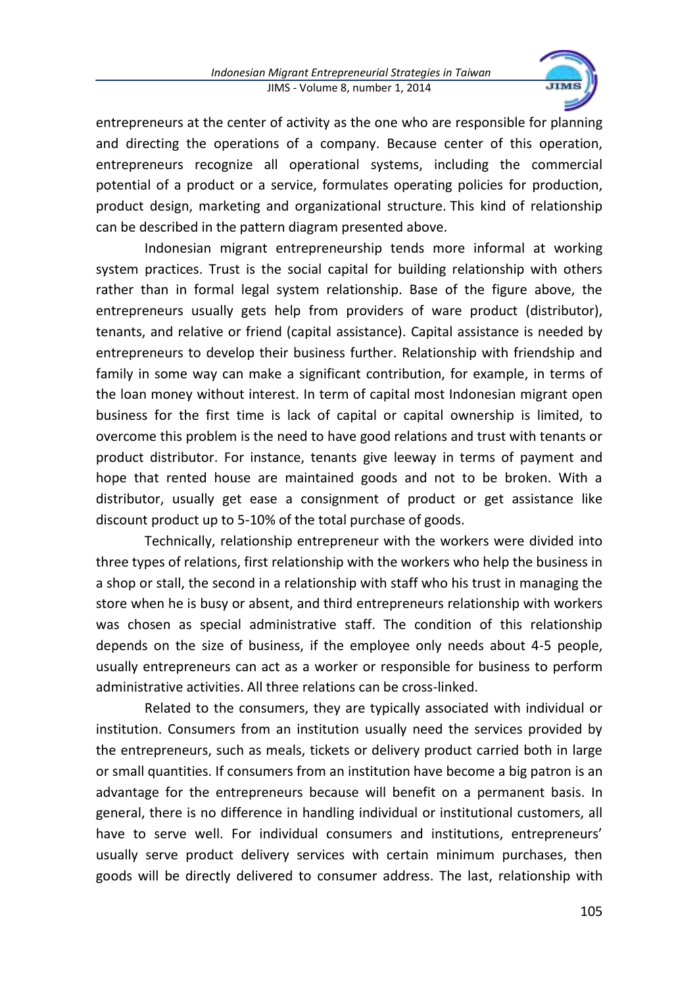

entrepreneurs at the center of activity as the one who are responsible for planning and directing the operations of a company. Because center of this operation, entrepreneurs recognize all operational systems, including the commercial potential of a product or a service, formulates operating policies for production, product design, marketing and organizational structure. This kind of relationship can be described in the pattern diagram presented above.

Indonesian migrant entrepreneurship tends more informal at working system practices. Trust is the social capital for building relationship with others rather than in formal legal system relationship. Base of the figure above, the entrepreneurs usually gets help from providers of ware product (distributor), tenants, and relative or friend (capital assistance). Capital assistance is needed by entrepreneurs to develop their business further. Relationship with friendship and family in some way can make a significant contribution, for example, in terms of the loan money without interest. In term of capital most Indonesian migrant open business for the first time is lack of capital or capital ownership is limited, to overcome this problem is the need to have good relations and trust with tenants or product distributor. For instance, tenants give leeway in terms of payment and hope that rented house are maintained goods and not to be broken. With a distributor, usually get ease a consignment of product or get assistance like discount product up to 5-10% of the total purchase of goods.

Technically, relationship entrepreneur with the workers were divided into three types of relations, first relationship with the workers who help the business in a shop or stall, the second in a relationship with staff who his trust in managing the store when he is busy or absent, and third entrepreneurs relationship with workers was chosen as special administrative staff. The condition of this relationship depends on the size of business, if the employee only needs about 4-5 people, usually entrepreneurs can act as a worker or responsible for business to perform administrative activities. All three relations can be cross-linked.

Related to the consumers, they are typically associated with individual or institution. Consumers from an institution usually need the services provided by the entrepreneurs, such as meals, tickets or delivery product carried both in large or small quantities. If consumers from an institution have become a big patron is an advantage for the entrepreneurs because will benefit on a permanent basis. In general, there is no difference in handling individual or institutional customers, all have to serve well. For individual consumers and institutions, entrepreneurs' usually serve product delivery services with certain minimum purchases, then goods will be directly delivered to consumer address. The last, relationship with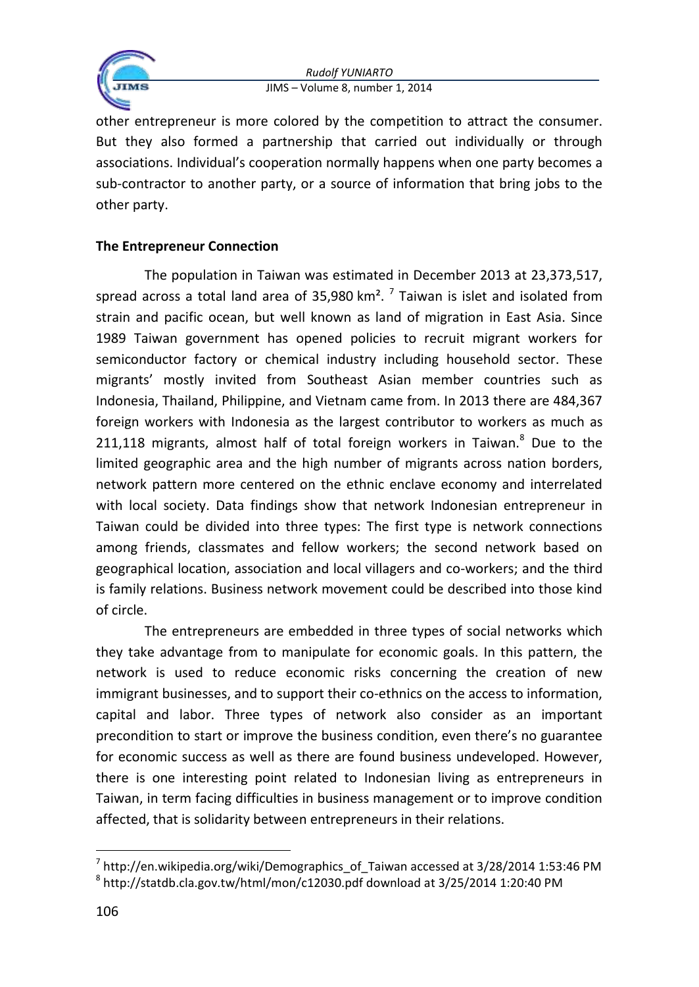

other entrepreneur is more colored by the competition to attract the consumer. But they also formed a partnership that carried out individually or through associations. Individual's cooperation normally happens when one party becomes a sub-contractor to another party, or a source of information that bring jobs to the other party.

### **The Entrepreneur Connection**

The population in Taiwan was estimated in December 2013 at 23,373,517, spread across a total land area of 35,980 km<sup>2</sup>.<sup>7</sup> Taiwan is islet and isolated from strain and pacific ocean, but well known as land of migration in East Asia. Since 1989 Taiwan government has opened policies to recruit migrant workers for semiconductor factory or chemical industry including household sector. These migrants' mostly invited from Southeast Asian member countries such as Indonesia, Thailand, Philippine, and Vietnam came from. In 2013 there are 484,367 foreign workers with Indonesia as the largest contributor to workers as much as 211,118 migrants, almost half of total foreign workers in Taiwan. $8$  Due to the limited geographic area and the high number of migrants across nation borders, network pattern more centered on the ethnic enclave economy and interrelated with local society. Data findings show that network Indonesian entrepreneur in Taiwan could be divided into three types: The first type is network connections among friends, classmates and fellow workers; the second network based on geographical location, association and local villagers and co-workers; and the third is family relations. Business network movement could be described into those kind of circle.

The entrepreneurs are embedded in three types of social networks which they take advantage from to manipulate for economic goals. In this pattern, the network is used to reduce economic risks concerning the creation of new immigrant businesses, and to support their co-ethnics on the access to information, capital and labor. Three types of network also consider as an important precondition to start or improve the business condition, even there's no guarantee for economic success as well as there are found business undeveloped. However, there is one interesting point related to Indonesian living as entrepreneurs in Taiwan, in term facing difficulties in business management or to improve condition affected, that is solidarity between entrepreneurs in their relations.

 $\ddot{\phantom{a}}$ 

 $^7$  http://en.wikipedia.org/wiki/Demographics\_of\_Taiwan accessed at 3/28/2014 1:53:46 PM

 $^8$  http://statdb.cla.gov.tw/html/mon/c12030.pdf download at 3/25/2014 1:20:40 PM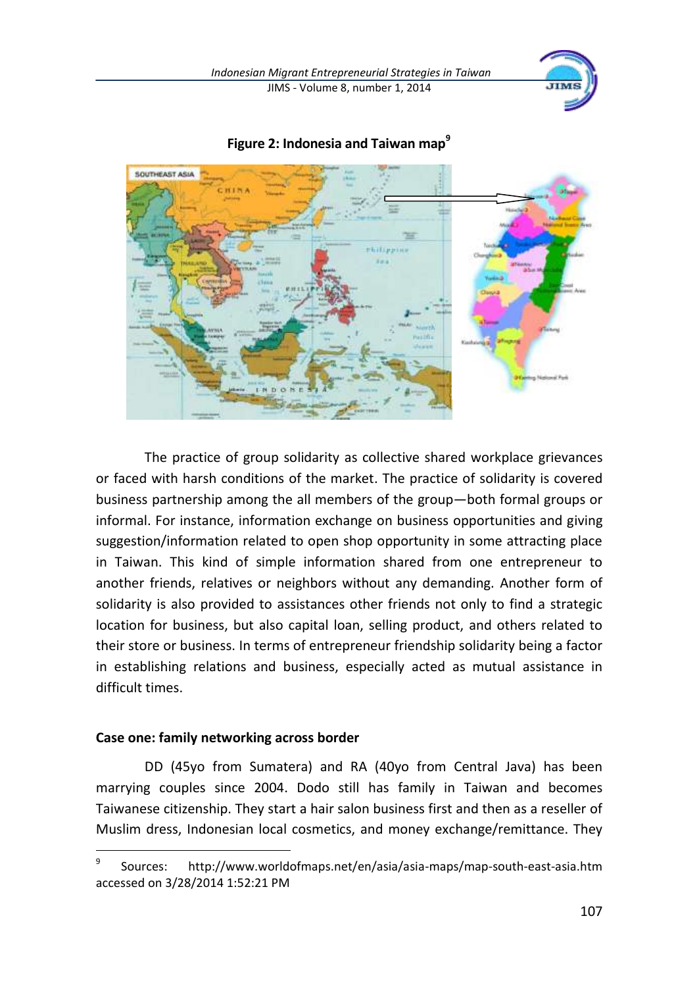



**Figure 2: Indonesia and Taiwan map<sup>9</sup>**

The practice of group solidarity as collective shared workplace grievances or faced with harsh conditions of the market. The practice of solidarity is covered business partnership among the all members of the group—both formal groups or informal. For instance, information exchange on business opportunities and giving suggestion/information related to open shop opportunity in some attracting place in Taiwan. This kind of simple information shared from one entrepreneur to another friends, relatives or neighbors without any demanding. Another form of solidarity is also provided to assistances other friends not only to find a strategic location for business, but also capital loan, selling product, and others related to their store or business. In terms of entrepreneur friendship solidarity being a factor in establishing relations and business, especially acted as mutual assistance in difficult times.

### **Case one: family networking across border**

 $\ddot{\phantom{a}}$ 

DD (45yo from Sumatera) and RA (40yo from Central Java) has been marrying couples since 2004. Dodo still has family in Taiwan and becomes Taiwanese citizenship. They start a hair salon business first and then as a reseller of Muslim dress, Indonesian local cosmetics, and money exchange/remittance. They

<sup>9</sup> Sources: http://www.worldofmaps.net/en/asia/asia-maps/map-south-east-asia.htm accessed on 3/28/2014 1:52:21 PM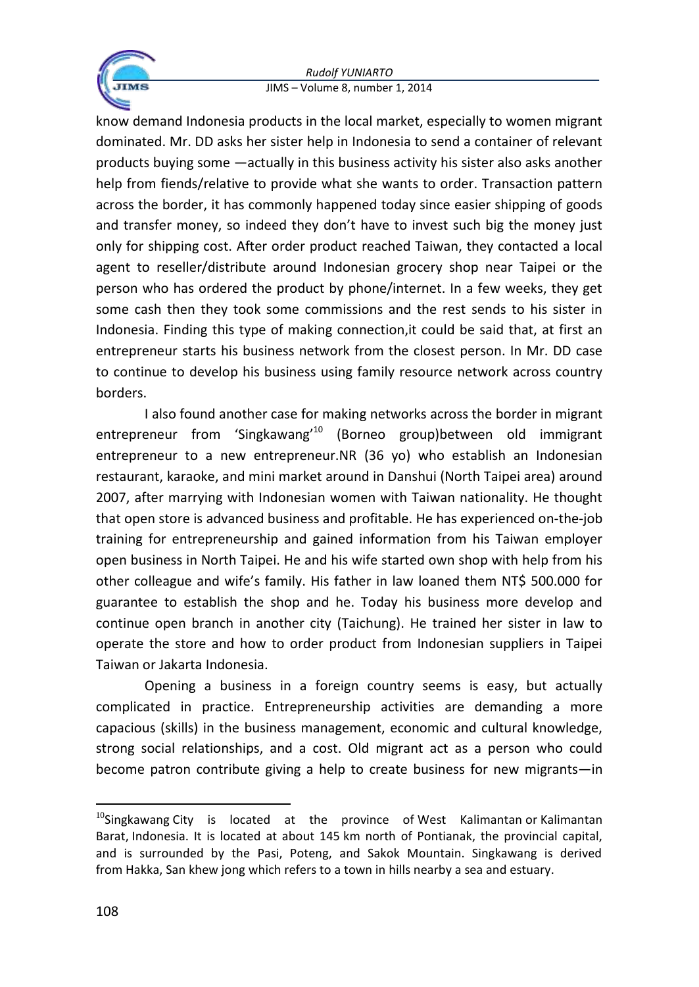

know demand Indonesia products in the local market, especially to women migrant dominated. Mr. DD asks her sister help in Indonesia to send a container of relevant products buying some —actually in this business activity his sister also asks another help from fiends/relative to provide what she wants to order. Transaction pattern across the border, it has commonly happened today since easier shipping of goods and transfer money, so indeed they don't have to invest such big the money just only for shipping cost. After order product reached Taiwan, they contacted a local agent to reseller/distribute around Indonesian grocery shop near Taipei or the person who has ordered the product by phone/internet. In a few weeks, they get some cash then they took some commissions and the rest sends to his sister in Indonesia. Finding this type of making connection,it could be said that, at first an entrepreneur starts his business network from the closest person. In Mr. DD case to continue to develop his business using family resource network across country borders.

I also found another case for making networks across the border in migrant entrepreneur from 'Singkawang'<sup>10</sup> (Borneo group)between old immigrant entrepreneur to a new entrepreneur.NR (36 yo) who establish an Indonesian restaurant, karaoke, and mini market around in Danshui (North Taipei area) around 2007, after marrying with Indonesian women with Taiwan nationality. He thought that open store is advanced business and profitable. He has experienced on-the-job training for entrepreneurship and gained information from his Taiwan employer open business in North Taipei. He and his wife started own shop with help from his other colleague and wife's family. His father in law loaned them NT\$ 500.000 for guarantee to establish the shop and he. Today his business more develop and continue open branch in another city (Taichung). He trained her sister in law to operate the store and how to order product from Indonesian suppliers in Taipei Taiwan or Jakarta Indonesia.

Opening a business in a foreign country seems is easy, but actually complicated in practice. Entrepreneurship activities are demanding a more capacious (skills) in the business management, economic and cultural knowledge, strong social relationships, and a cost. Old migrant act as a person who could become patron contribute giving a help to create business for new migrants—in

 $10$ Singkawang City is located at the province of West Kalimantan or Kalimantan Barat, Indonesia. It is located at about 145 km north of Pontianak, the provincial capital, and is surrounded by the Pasi, Poteng, and Sakok Mountain. Singkawang is derived from Hakka, San khew jong which refers to a town in hills nearby a sea and estuary.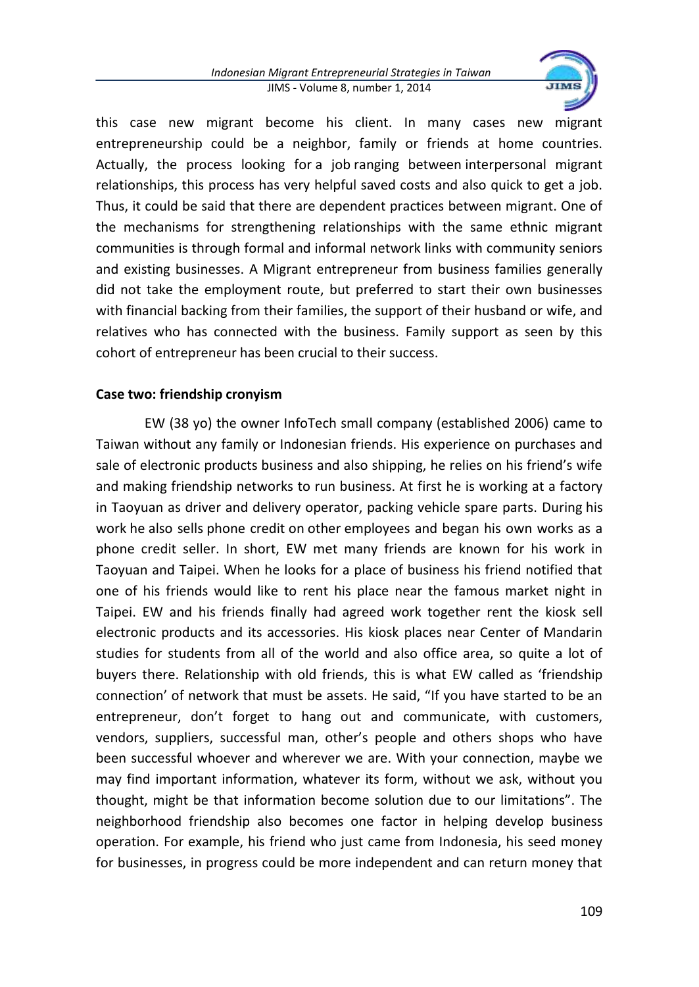

this case new migrant become his client. In many cases new migrant entrepreneurship could be a neighbor, family or friends at home countries. Actually, the process looking for a job ranging between interpersonal migrant relationships, this process has very helpful saved costs and also quick to get a job. Thus, it could be said that there are dependent practices between migrant. One of the mechanisms for strengthening relationships with the same ethnic migrant communities is through formal and informal network links with community seniors and existing businesses. A Migrant entrepreneur from business families generally did not take the employment route, but preferred to start their own businesses with financial backing from their families, the support of their husband or wife, and relatives who has connected with the business. Family support as seen by this cohort of entrepreneur has been crucial to their success.

### **Case two: friendship cronyism**

EW (38 yo) the owner InfoTech small company (established 2006) came to Taiwan without any family or Indonesian friends. His experience on purchases and sale of electronic products business and also shipping, he relies on his friend's wife and making friendship networks to run business. At first he is working at a factory in Taoyuan as driver and delivery operator, packing vehicle spare parts. During his work he also sells phone credit on other employees and began his own works as a phone credit seller. In short, EW met many friends are known for his work in Taoyuan and Taipei. When he looks for a place of business his friend notified that one of his friends would like to rent his place near the famous market night in Taipei. EW and his friends finally had agreed work together rent the kiosk sell electronic products and its accessories. His kiosk places near Center of Mandarin studies for students from all of the world and also office area, so quite a lot of buyers there. Relationship with old friends, this is what EW called as 'friendship connection' of network that must be assets. He said, "If you have started to be an entrepreneur, don't forget to hang out and communicate, with customers, vendors, suppliers, successful man, other's people and others shops who have been successful whoever and wherever we are. With your connection, maybe we may find important information, whatever its form, without we ask, without you thought, might be that information become solution due to our limitations". The neighborhood friendship also becomes one factor in helping develop business operation. For example, his friend who just came from Indonesia, his seed money for businesses, in progress could be more independent and can return money that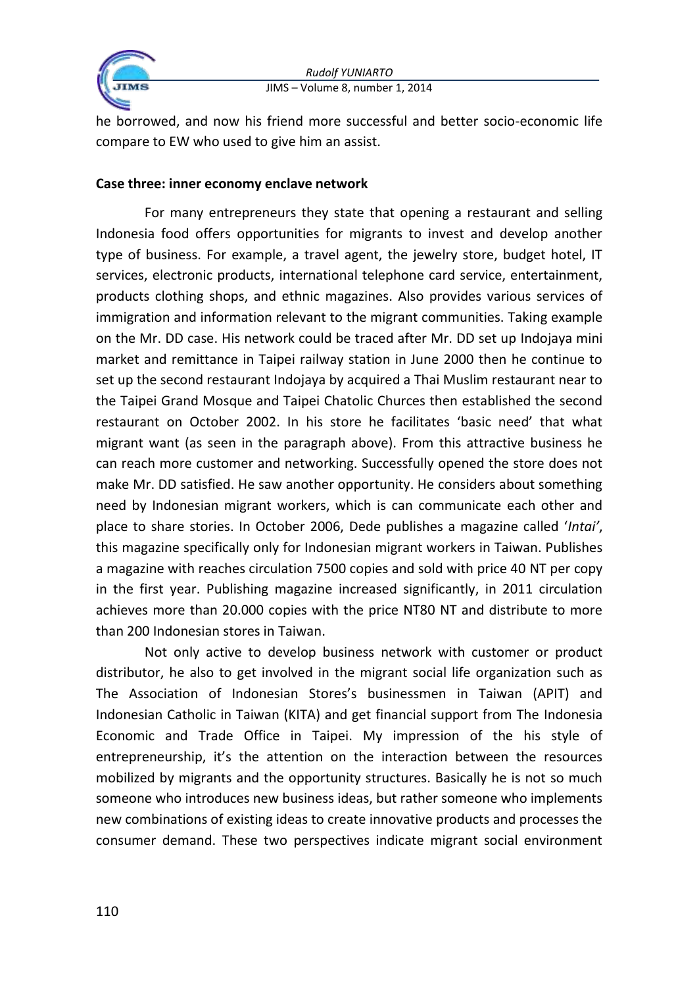

he borrowed, and now his friend more successful and better socio-economic life compare to EW who used to give him an assist.

### **Case three: inner economy enclave network**

For many entrepreneurs they state that opening a restaurant and selling Indonesia food offers opportunities for migrants to invest and develop another type of business. For example, a travel agent, the jewelry store, budget hotel, IT services, electronic products, international telephone card service, entertainment, products clothing shops, and ethnic magazines. Also provides various services of immigration and information relevant to the migrant communities. Taking example on the Mr. DD case. His network could be traced after Mr. DD set up Indojaya mini market and remittance in Taipei railway station in June 2000 then he continue to set up the second restaurant Indojaya by acquired a Thai Muslim restaurant near to the Taipei Grand Mosque and Taipei Chatolic Churces then established the second restaurant on October 2002. In his store he facilitates 'basic need' that what migrant want (as seen in the paragraph above). From this attractive business he can reach more customer and networking. Successfully opened the store does not make Mr. DD satisfied. He saw another opportunity. He considers about something need by Indonesian migrant workers, which is can communicate each other and place to share stories. In October 2006, Dede publishes a magazine called '*Intai'*, this magazine specifically only for Indonesian migrant workers in Taiwan. Publishes a magazine with reaches circulation 7500 copies and sold with price 40 NT per copy in the first year. Publishing magazine increased significantly, in 2011 circulation achieves more than 20.000 copies with the price NT80 NT and distribute to more than 200 Indonesian stores in Taiwan.

Not only active to develop business network with customer or product distributor, he also to get involved in the migrant social life organization such as The Association of Indonesian Stores's businessmen in Taiwan (APIT) and Indonesian Catholic in Taiwan (KITA) and get financial support from The Indonesia Economic and Trade Office in Taipei. My impression of the his style of entrepreneurship, it's the attention on the interaction between the resources mobilized by migrants and the opportunity structures. Basically he is not so much someone who introduces new business ideas, but rather someone who implements new combinations of existing ideas to create innovative products and processes the consumer demand. These two perspectives indicate migrant social environment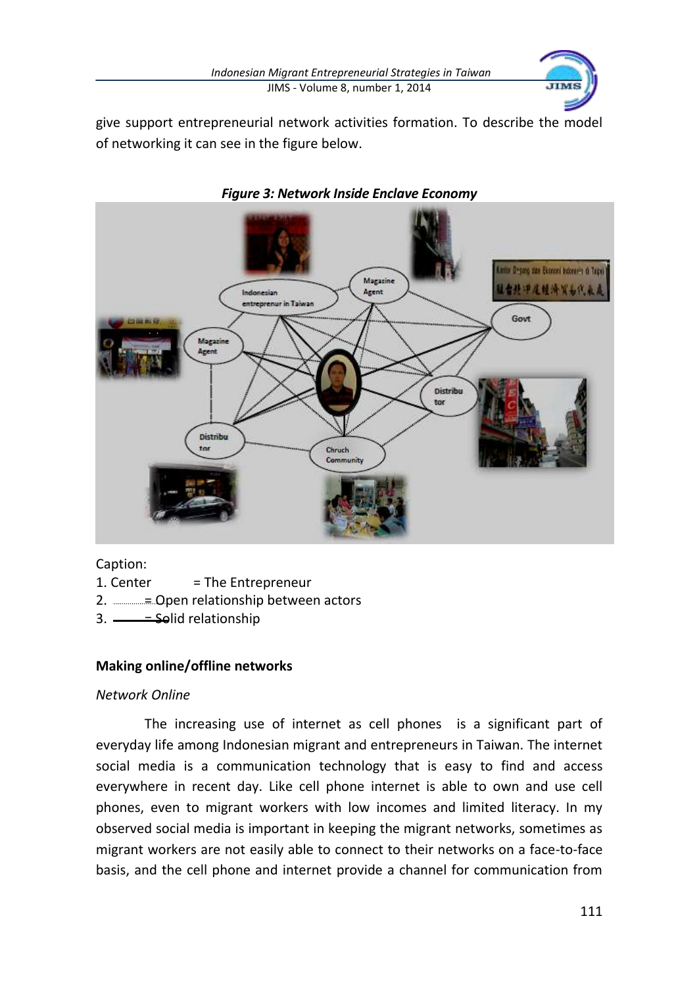

give support entrepreneurial network activities formation. To describe the model of networking it can see in the figure below.



#### *Figure 3: Network Inside Enclave Economy*

Caption:

1. Center  $=$  The Entrepreneur

2. **ECODED THE OPEN PROPENSISE OPEN DISC** 2. **ECONOMISTIC DISC** 

3.  $\frac{\sqrt{3}}{2}$  = Solid relationship

### **Making online/offline networks**

#### *Network Online*

The increasing use of internet as cell phones is a significant part of everyday life among Indonesian migrant and entrepreneurs in Taiwan. The internet social media is a communication technology that is easy to find and access everywhere in recent day. Like cell phone internet is able to own and use cell phones, even to migrant workers with low incomes and limited literacy. In my observed social media is important in keeping the migrant networks, sometimes as migrant workers are not easily able to connect to their networks on a face-to-face basis, and the cell phone and internet provide a channel for communication from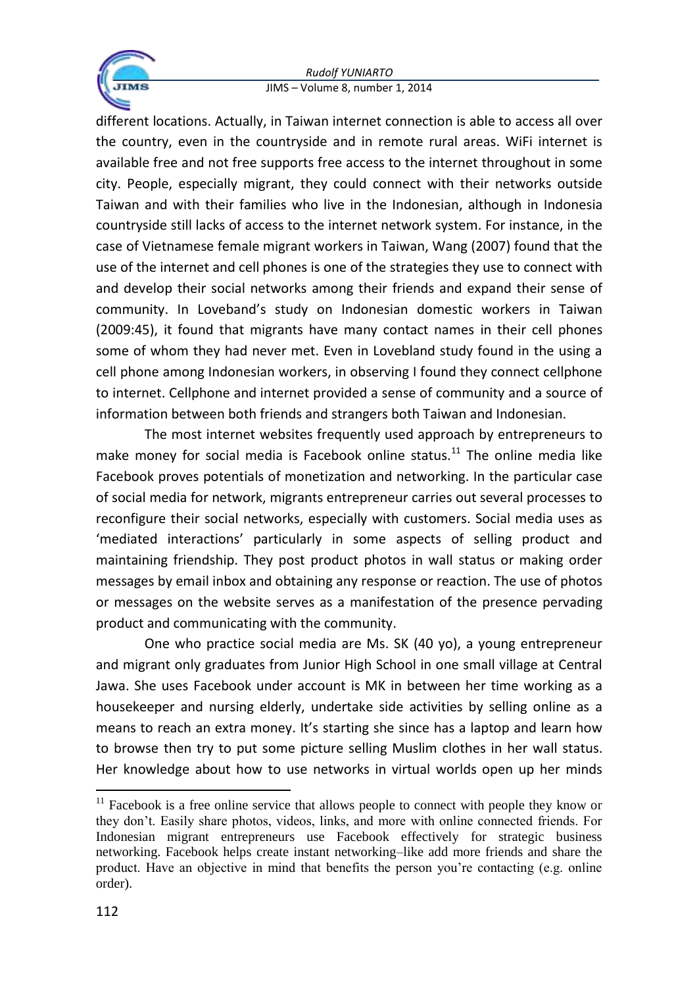

different locations. Actually, in Taiwan internet connection is able to access all over the country, even in the countryside and in remote rural areas. WiFi internet is available free and not free supports free access to the internet throughout in some city. People, especially migrant, they could connect with their networks outside Taiwan and with their families who live in the Indonesian, although in Indonesia countryside still lacks of access to the internet network system. For instance, in the case of Vietnamese female migrant workers in Taiwan, Wang (2007) found that the use of the internet and cell phones is one of the strategies they use to connect with and develop their social networks among their friends and expand their sense of community. In Loveband's study on Indonesian domestic workers in Taiwan (2009:45), it found that migrants have many contact names in their cell phones some of whom they had never met. Even in Lovebland study found in the using a cell phone among Indonesian workers, in observing I found they connect cellphone to internet. Cellphone and internet provided a sense of community and a source of information between both friends and strangers both Taiwan and Indonesian.

The most internet websites frequently used approach by entrepreneurs to make money for social media is Facebook online status. $11$  The online media like Facebook proves potentials of monetization and networking. In the particular case of social media for network, migrants entrepreneur carries out several processes to reconfigure their social networks, especially with customers. Social media uses as 'mediated interactions' particularly in some aspects of selling product and maintaining friendship. They post product photos in wall status or making order messages by email inbox and obtaining any response or reaction. The use of photos or messages on the website serves as a manifestation of the presence pervading product and communicating with the community.

One who practice social media are Ms. SK (40 yo), a young entrepreneur and migrant only graduates from Junior High School in one small village at Central Jawa. She uses Facebook under account is MK in between her time working as a housekeeper and nursing elderly, undertake side activities by selling online as a means to reach an extra money. It's starting she since has a laptop and learn how to browse then try to put some picture selling Muslim clothes in her wall status. Her knowledge about how to use networks in virtual worlds open up her minds

<sup>&</sup>lt;sup>11</sup> Facebook is a free online service that allows people to connect with people they know or they don't. Easily share photos, videos, links, and more with online connected friends. For Indonesian migrant entrepreneurs use Facebook effectively for strategic business networking. Facebook helps create instant networking–like add more friends and share the product. Have an objective in mind that benefits the person you're contacting (e.g. online order).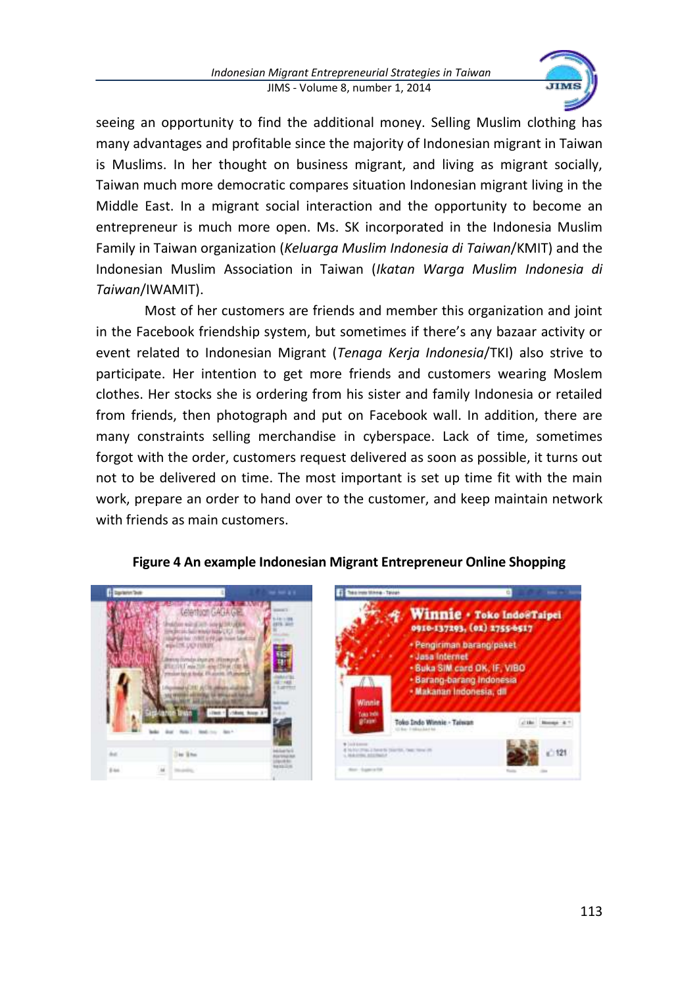

seeing an opportunity to find the additional money. Selling Muslim clothing has many advantages and profitable since the majority of Indonesian migrant in Taiwan is Muslims. In her thought on business migrant, and living as migrant socially, Taiwan much more democratic compares situation Indonesian migrant living in the Middle East. In a migrant social interaction and the opportunity to become an entrepreneur is much more open. Ms. SK incorporated in the Indonesia Muslim Family in Taiwan organization (*Keluarga Muslim Indonesia di Taiwan*/KMIT) and the Indonesian Muslim Association in Taiwan (*Ikatan Warga Muslim Indonesia di Taiwan*/IWAMIT).

Most of her customers are friends and member this organization and joint in the Facebook friendship system, but sometimes if there's any bazaar activity or event related to Indonesian Migrant (*Tenaga Kerja Indonesia*/TKI) also strive to participate. Her intention to get more friends and customers wearing Moslem clothes. Her stocks she is ordering from his sister and family Indonesia or retailed from friends, then photograph and put on Facebook wall. In addition, there are many constraints selling merchandise in cyberspace. Lack of time, sometimes forgot with the order, customers request delivered as soon as possible, it turns out not to be delivered on time. The most important is set up time fit with the main work, prepare an order to hand over to the customer, and keep maintain network with friends as main customers.



### **Figure 4 An example Indonesian Migrant Entrepreneur Online Shopping**

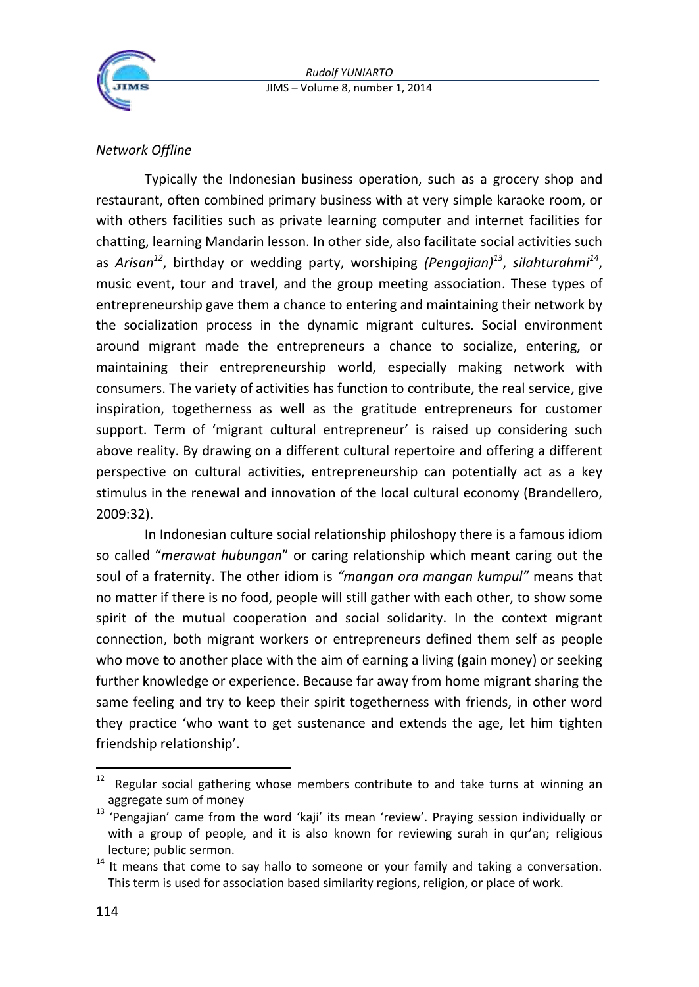

## *Network Offline*

Typically the Indonesian business operation, such as a grocery shop and restaurant, often combined primary business with at very simple karaoke room, or with others facilities such as private learning computer and internet facilities for chatting, learning Mandarin lesson. In other side, also facilitate social activities such as *Arisan<sup>12</sup>*, birthday or wedding party, worshiping *(Pengajian)<sup>13</sup>* , *silahturahmi<sup>14</sup>* , music event, tour and travel, and the group meeting association. These types of entrepreneurship gave them a chance to entering and maintaining their network by the socialization process in the dynamic migrant cultures. Social environment around migrant made the entrepreneurs a chance to socialize, entering, or maintaining their entrepreneurship world, especially making network with consumers. The variety of activities has function to contribute, the real service, give inspiration, togetherness as well as the gratitude entrepreneurs for customer support. Term of 'migrant cultural entrepreneur' is raised up considering such above reality. By drawing on a different cultural repertoire and offering a different perspective on cultural activities, entrepreneurship can potentially act as a key stimulus in the renewal and innovation of the local cultural economy (Brandellero, 2009:32).

In Indonesian culture social relationship philoshopy there is a famous idiom so called "*merawat hubungan*" or caring relationship which meant caring out the soul of a fraternity. The other idiom is *"mangan ora mangan kumpul"* means that no matter if there is no food, people will still gather with each other, to show some spirit of the mutual cooperation and social solidarity. In the context migrant connection, both migrant workers or entrepreneurs defined them self as people who move to another place with the aim of earning a living (gain money) or seeking further knowledge or experience. Because far away from home migrant sharing the same feeling and try to keep their spirit togetherness with friends, in other word they practice 'who want to get sustenance and extends the age, let him tighten friendship relationship'.

<sup>12</sup> Regular social gathering whose members contribute to and take turns at winning an aggregate sum of money

<sup>13</sup> 'Pengajian' came from the word 'kaji' its mean 'review'. Praying session individually or with a group of people, and it is also known for reviewing surah in qur'an; religious lecture; public sermon.

 $14$  It means that come to say hallo to someone or your family and taking a conversation. This term is used for association based similarity regions, religion, or place of work.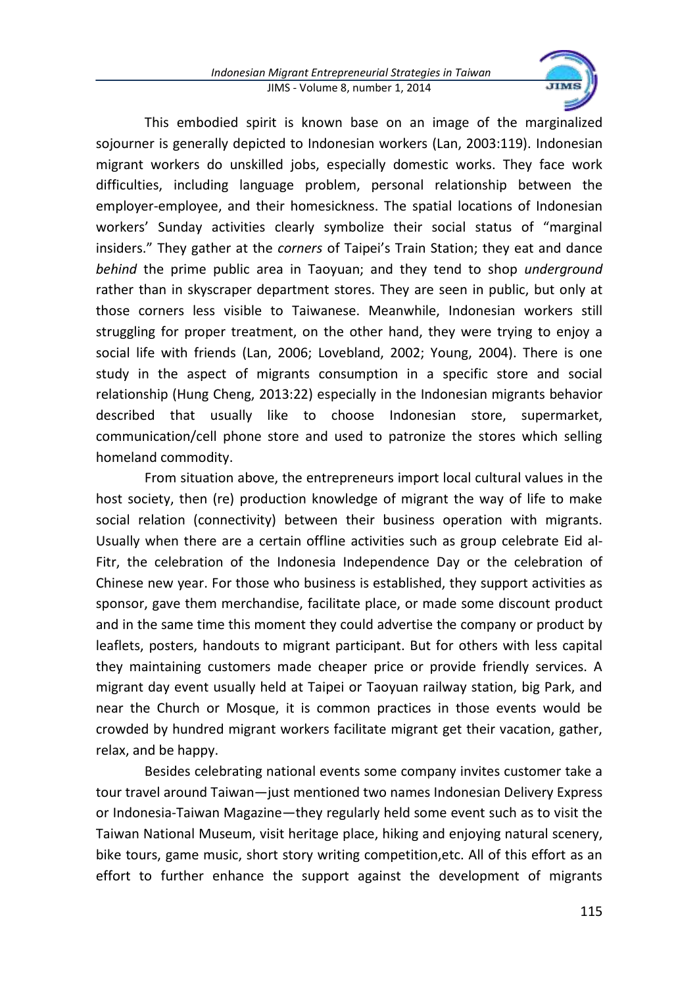

This embodied spirit is known base on an image of the marginalized sojourner is generally depicted to Indonesian workers (Lan, 2003:119). Indonesian migrant workers do unskilled jobs, especially domestic works. They face work difficulties, including language problem, personal relationship between the employer-employee, and their homesickness. The spatial locations of Indonesian workers' Sunday activities clearly symbolize their social status of "marginal insiders." They gather at the *corners* of Taipei's Train Station; they eat and dance *behind* the prime public area in Taoyuan; and they tend to shop *underground*  rather than in skyscraper department stores. They are seen in public, but only at those corners less visible to Taiwanese. Meanwhile, Indonesian workers still struggling for proper treatment, on the other hand, they were trying to enjoy a social life with friends (Lan, 2006; Lovebland, 2002; Young, 2004). There is one study in the aspect of migrants consumption in a specific store and social relationship (Hung Cheng, 2013:22) especially in the Indonesian migrants behavior described that usually like to choose Indonesian store, supermarket, communication/cell phone store and used to patronize the stores which selling homeland commodity.

From situation above, the entrepreneurs import local cultural values in the host society, then (re) production knowledge of migrant the way of life to make social relation (connectivity) between their business operation with migrants. Usually when there are a certain offline activities such as group celebrate Eid al-Fitr, the celebration of the Indonesia Independence Day or the celebration of Chinese new year. For those who business is established, they support activities as sponsor, gave them merchandise, facilitate place, or made some discount product and in the same time this moment they could advertise the company or product by leaflets, posters, handouts to migrant participant. But for others with less capital they maintaining customers made cheaper price or provide friendly services. A migrant day event usually held at Taipei or Taoyuan railway station, big Park, and near the Church or Mosque, it is common practices in those events would be crowded by hundred migrant workers facilitate migrant get their vacation, gather, relax, and be happy.

Besides celebrating national events some company invites customer take a tour travel around Taiwan—just mentioned two names Indonesian Delivery Express or Indonesia-Taiwan Magazine—they regularly held some event such as to visit the Taiwan National Museum, visit heritage place, hiking and enjoying natural scenery, bike tours, game music, short story writing competition,etc. All of this effort as an effort to further enhance the support against the development of migrants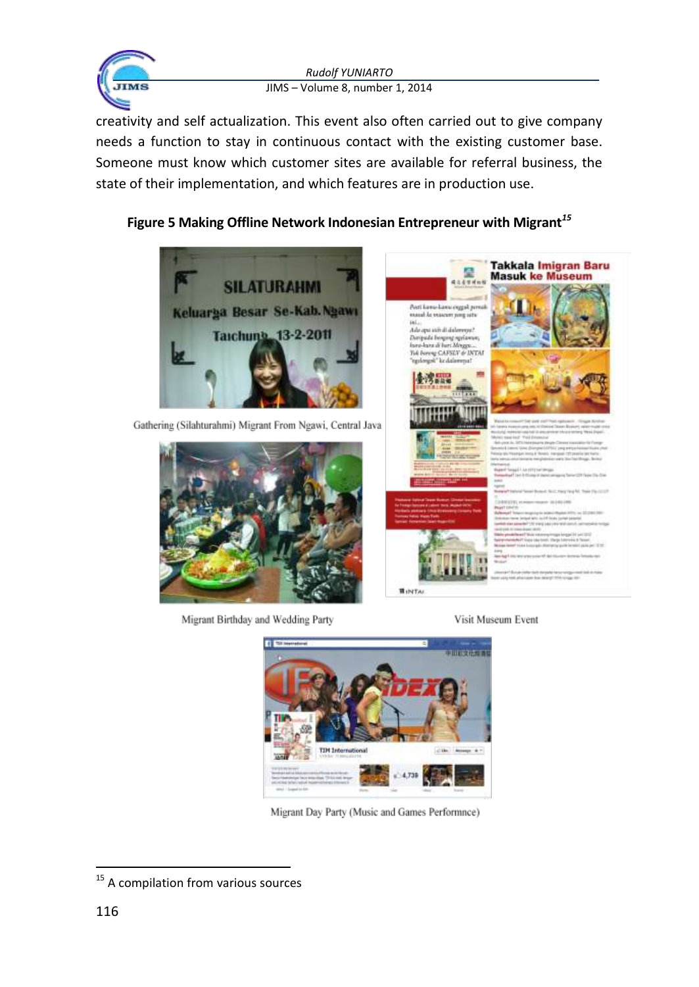

creativity and self actualization. This event also often carried out to give company needs a function to stay in continuous contact with the existing customer base. Someone must know which customer sites are available for referral business, the state of their implementation, and which features are in production use.

# **Figure 5 Making Offline Network Indonesian Entrepreneur with Migrant***<sup>15</sup>*



Gathering (Silahturahmi) Migrant From Ngawi, Central Java



Migrant Birthday and Wedding Party













**HINTA** 



Migrant Day Party (Music and Games Performnce)

<sup>&</sup>lt;sup>15</sup> A compilation from various sources

Visit Museum Event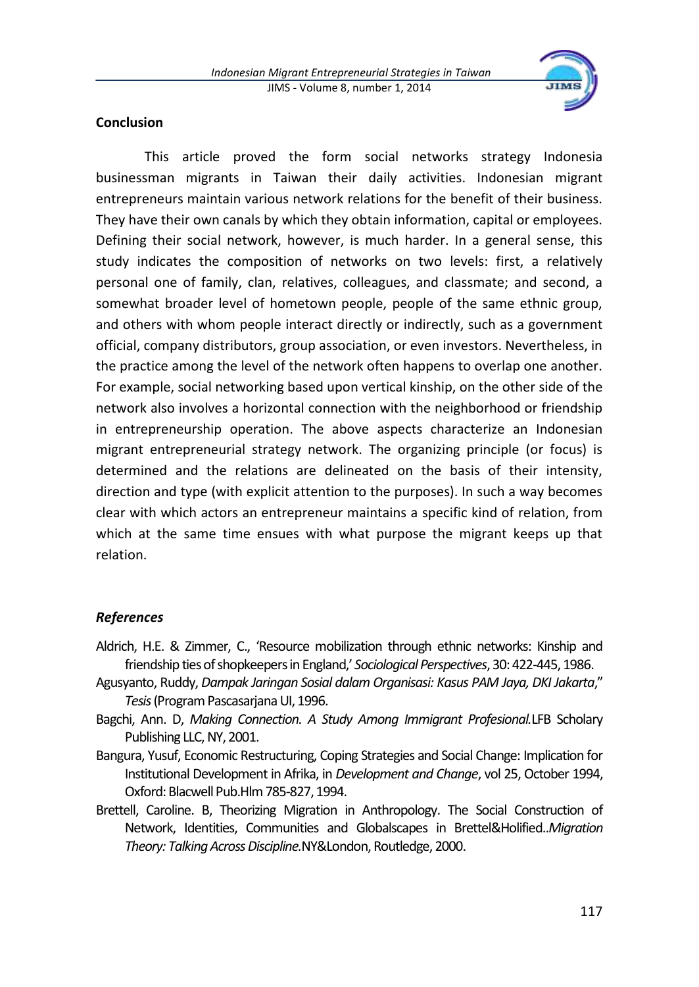

### **Conclusion**

This article proved the form social networks strategy Indonesia businessman migrants in Taiwan their daily activities. Indonesian migrant entrepreneurs maintain various network relations for the benefit of their business. They have their own canals by which they obtain information, capital or employees. Defining their social network, however, is much harder. In a general sense, this study indicates the composition of networks on two levels: first, a relatively personal one of family, clan, relatives, colleagues, and classmate; and second, a somewhat broader level of hometown people, people of the same ethnic group, and others with whom people interact directly or indirectly, such as a government official, company distributors, group association, or even investors. Nevertheless, in the practice among the level of the network often happens to overlap one another. For example, social networking based upon vertical kinship, on the other side of the network also involves a horizontal connection with the neighborhood or friendship in entrepreneurship operation. The above aspects characterize an Indonesian migrant entrepreneurial strategy network. The organizing principle (or focus) is determined and the relations are delineated on the basis of their intensity, direction and type (with explicit attention to the purposes). In such a way becomes clear with which actors an entrepreneur maintains a specific kind of relation, from which at the same time ensues with what purpose the migrant keeps up that relation.

#### *References*

- Aldrich, H.E. & Zimmer, C., 'Resource mobilization through ethnic networks: Kinship and friendship ties of shopkeepers in England,' *Sociological Perspectives*, 30: 422-445, 1986.
- Agusyanto, Ruddy, *Dampak Jaringan Sosial dalam Organisasi: Kasus PAM Jaya, DKI Jakarta*," *Tesis* (Program Pascasarjana UI, 1996.
- Bagchi, Ann. D, *Making Connection. A Study Among Immigrant Profesional.*LFB Scholary Publishing LLC, NY, 2001.
- Bangura, Yusuf, Economic Restructuring, Coping Strategies and Social Change: Implication for Institutional Development in Afrika, in *Development and Change*, vol 25, October 1994, Oxford: Blacwell Pub.Hlm 785-827, 1994.
- Brettell, Caroline. B, Theorizing Migration in Anthropology. The Social Construction of Network, Identities, Communities and Globalscapes in Brettel&Holified..*Migration Theory: Talking Across Discipline.*NY&London, Routledge, 2000.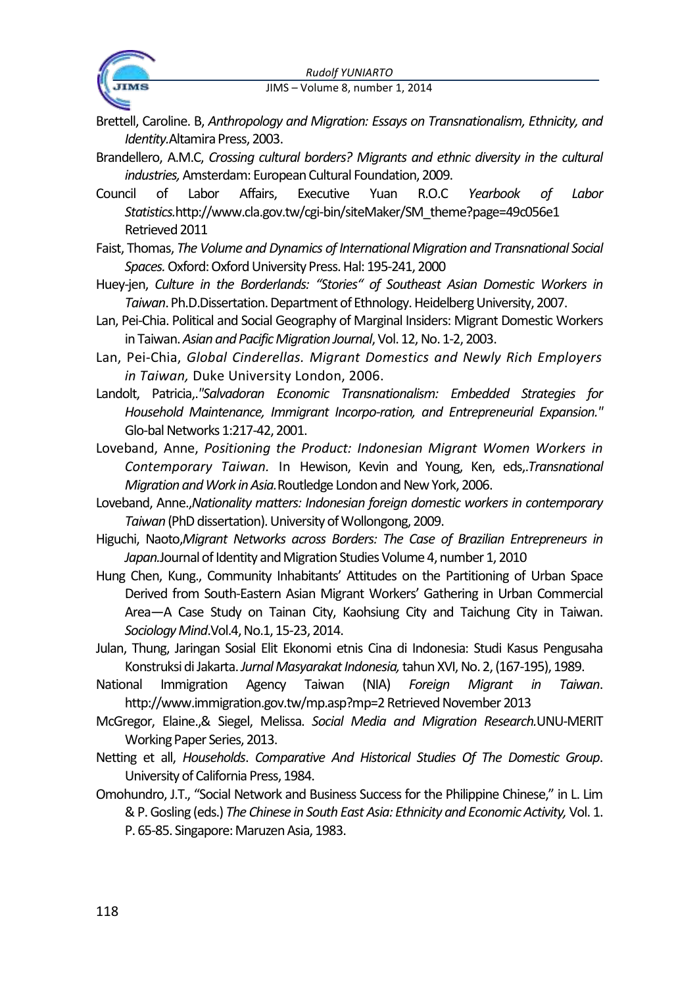

- Brettell, Caroline. B, *Anthropology and Migration: Essays on Transnationalism, Ethnicity, and Identity.*Altamira Press, 2003.
- Brandellero, A.M.C, *Crossing cultural borders? Migrants and ethnic diversity in the cultural industries,*Amsterdam: European Cultural Foundation, 2009.
- Council of Labor Affairs, Executive Yuan R.O.C *Yearbook of Labor Statistics.*http://www.cla.gov.tw/cgi-bin/siteMaker/SM\_theme?page=49c056e1 Retrieved 2011
- Faist, Thomas, *The Volume and Dynamics of International Migration and Transnational Social Spaces.*Oxford: Oxford University Press. Hal: 195-241, 2000
- Huey-jen, *Culture in the Borderlands: "Stories" of Southeast Asian Domestic Workers in Taiwan*. Ph.D.Dissertation. Department of Ethnology. Heidelberg University, 2007.
- Lan, Pei-Chia. Political and Social Geography of Marginal Insiders: Migrant Domestic Workers in Taiwan. *Asian and Pacific Migration Journal*, Vol. 12, No. 1-2, 2003.
- Lan, Pei-Chia, *Global Cinderellas. Migrant Domestics and Newly Rich Employers in Taiwan,* Duke University London, 2006.
- Landolt, Patricia,.*"Salvadoran Economic Transnationalism: Embedded Strategies for Household Maintenance, Immigrant Incorpo-ration, and Entrepreneurial Expansion."* Glo-bal Networks 1:217-42, 2001.
- Loveband, Anne, *Positioning the Product: Indonesian Migrant Women Workers in Contemporary Taiwan.* In Hewison, Kevin and Young, Ken, eds,.*Transnational Migration and Work in Asia.*Routledge London and New York, 2006.
- Loveband, Anne.,*Nationality matters: Indonesian foreign domestic workers in contemporary Taiwan*(PhD dissertation). University of Wollongong, 2009.
- Higuchi, Naoto,*Migrant Networks across Borders: The Case of Brazilian Entrepreneurs in Japan.*Journal of Identity and Migration Studies Volume 4, number 1, 2010
- Hung Chen, Kung., Community Inhabitants' Attitudes on the Partitioning of Urban Space Derived from South-Eastern Asian Migrant Workers' Gathering in Urban Commercial Area—A Case Study on Tainan City, Kaohsiung City and Taichung City in Taiwan. *Sociology Mind*.Vol.4, No.1, 15-23, 2014.
- Julan, Thung, Jaringan Sosial Elit Ekonomi etnis Cina di Indonesia: Studi Kasus Pengusaha Konstruksi di Jakarta. *Jurnal Masyarakat Indonesia,*tahun XVI, No. 2, (167-195), 1989.
- National Immigration Agency Taiwan (NIA) *Foreign Migrant in Taiwan*. http://www.immigration.gov.tw/mp.asp?mp=2 Retrieved November 2013
- McGregor, Elaine.,& Siegel, Melissa. *Social Media and Migration Research.*UNU‐MERIT Working Paper Series, 2013.
- Netting et all, *Households*. *Comparative And Historical Studies Of The Domestic Group*. University of California Press, 1984.
- Omohundro, J.T., "Social Network and Business Success for the Philippine Chinese," in L. Lim & P. Gosling (eds.) *The Chinese in South East Asia: Ethnicity and Economic Activity,* Vol. 1. P. 65-85. Singapore: Maruzen Asia, 1983.